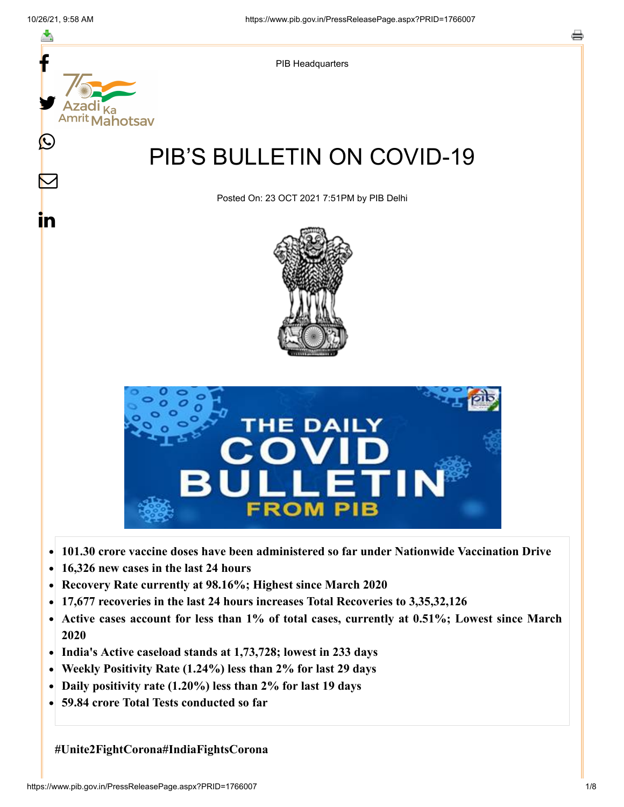

- **16,326 new cases in the last 24 hours**  $\bullet$
- **Recovery Rate currently at 98.16%; Highest since March 2020**
- **17,677 recoveries in the last 24 hours increases Total Recoveries to 3,35,32,126**
- **Active cases account for less than 1% of total cases, currently at 0.51%; Lowest since March**  $\bullet$ **2020**
- **India's Active caseload stands at 1,73,728; lowest in 233 days**
- **Weekly Positivity Rate (1.24%) less than 2% for last 29 days**  $\bullet$
- **Daily positivity rate (1.20%) less than 2% for last 19 days**
- **59.84 crore Total Tests conducted so far**  $\bullet$

**#Unite2FightCorona#IndiaFightsCorona**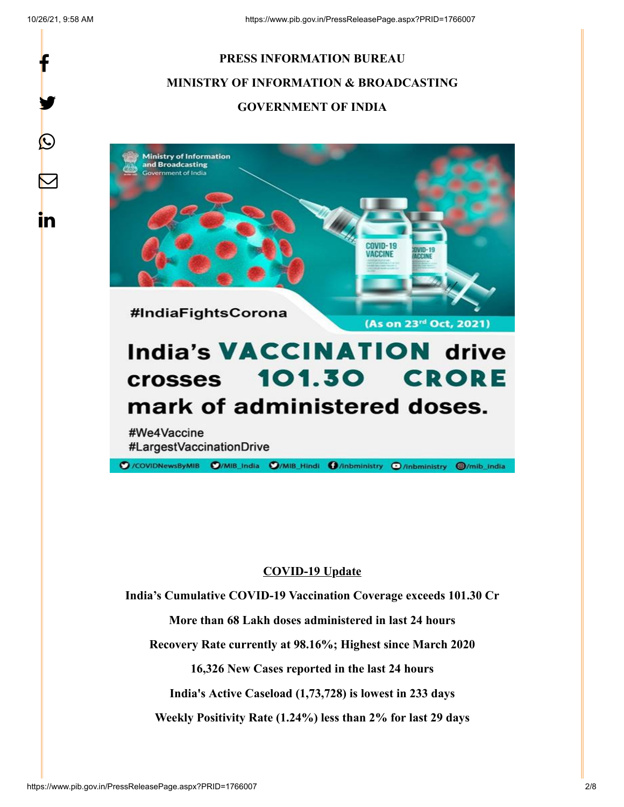f

y.

 $\bigcirc$ 

 $\bm{\nabla}$ 

in

# **PRESS INFORMATION BUREAU MINISTRY OF INFORMATION & BROADCASTING GOVERNMENT OF INDIA**





#We4Vaccine #LargestVaccinationDrive

C /COVIDNewsByMIB C /MIB\_India C /MIB\_Hindi C /inbministry C /inbministry @/mib\_india

## **COVID-19 Update**

**India's Cumulative COVID-19 Vaccination Coverage exceeds 101.30 Cr**

**More than 68 Lakh doses administered in last 24 hours**

**Recovery Rate currently at 98.16%; Highest since March 2020**

**16,326 New Cases reported in the last 24 hours**

**India's Active Caseload (1,73,728) is lowest in 233 days**

**Weekly Positivity Rate (1.24%) less than 2% for last 29 days**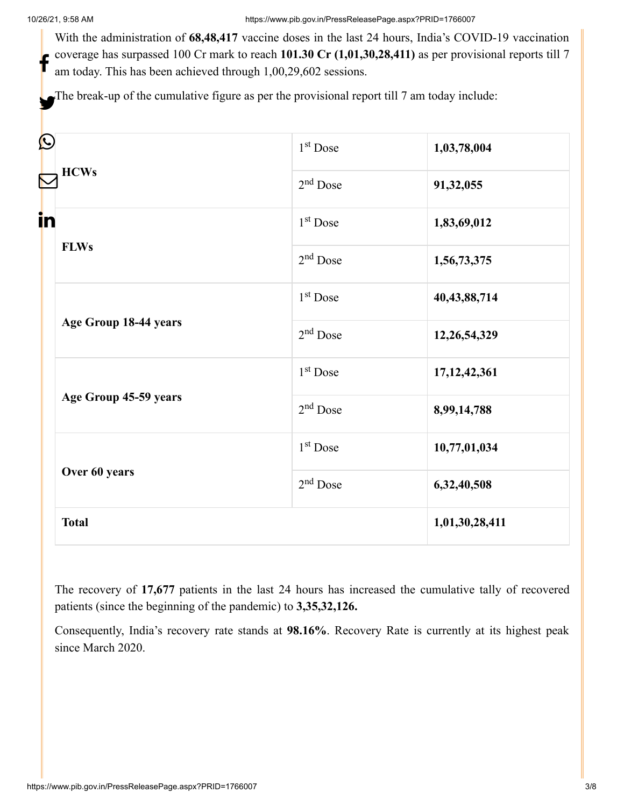With the administration of **68,48,417** vaccine doses in the last 24 hours, India's COVID-19 vaccination coverage has surpassed 100 Cr mark to reach **101.30 Cr (1,01,30,28,411)** as per provisional reports till 7 am today. This has been achieved through 1,00,29,602 sessions. f

The break-up of the cumulative figure as per the provisional report till 7 am today include:

| $\bf \Omega$<br><b>HCWs</b><br>in<br><b>FLWs</b> | 1 <sup>st</sup> Dose | 1,03,78,004     |
|--------------------------------------------------|----------------------|-----------------|
|                                                  | $2nd$ Dose           | 91,32,055       |
|                                                  | 1 <sup>st</sup> Dose | 1,83,69,012     |
|                                                  | $2nd$ Dose           | 1,56,73,375     |
| Age Group 18-44 years<br>Age Group 45-59 years   | 1 <sup>st</sup> Dose | 40, 43, 88, 714 |
|                                                  | $2nd$ Dose           | 12,26,54,329    |
|                                                  | 1 <sup>st</sup> Dose | 17, 12, 42, 361 |
|                                                  | $2nd$ Dose           | 8,99,14,788     |
| Over 60 years                                    | 1 <sup>st</sup> Dose | 10,77,01,034    |
|                                                  | $2nd$ Dose           | 6,32,40,508     |
| <b>Total</b>                                     |                      | 1,01,30,28,411  |

The recovery of **17,677** patients in the last 24 hours has increased the cumulative tally of recovered patients (since the beginning of the pandemic) to **3,35,32,126.**

Consequently, India's recovery rate stands at **98.16%**. Recovery Rate is currently at its highest peak since March 2020.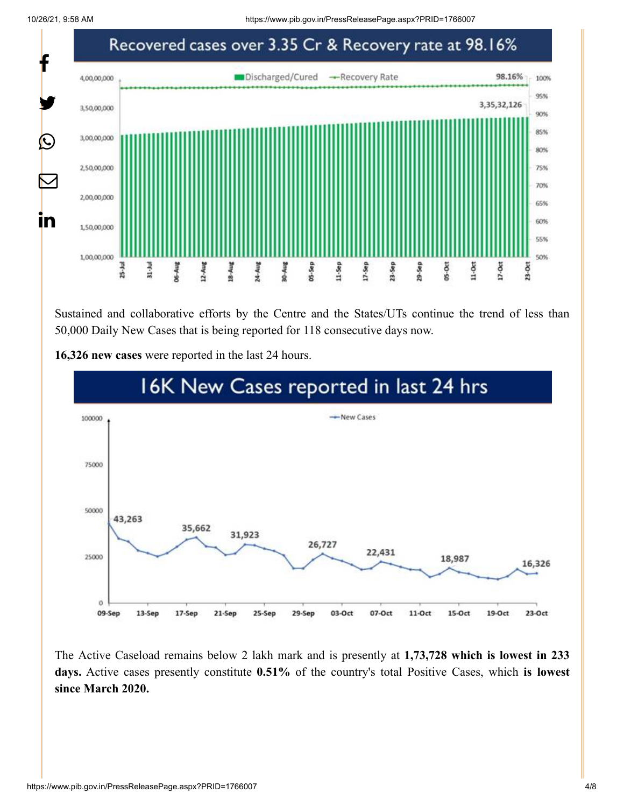10/26/21, 9:58 AM https://www.pib.gov.in/PressReleasePage.aspx?PRID=1766007



Sustained and collaborative efforts by the Centre and the States/UTs continue the trend of less than 50,000 Daily New Cases that is being reported for 118 consecutive days now.

**16,326 new cases** were reported in the last 24 hours.



The Active Caseload remains below 2 lakh mark and is presently at **1,73,728 which is lowest in 233 days.** Active cases presently constitute **0.51%** of the country's total Positive Cases, which **is lowest since March 2020.**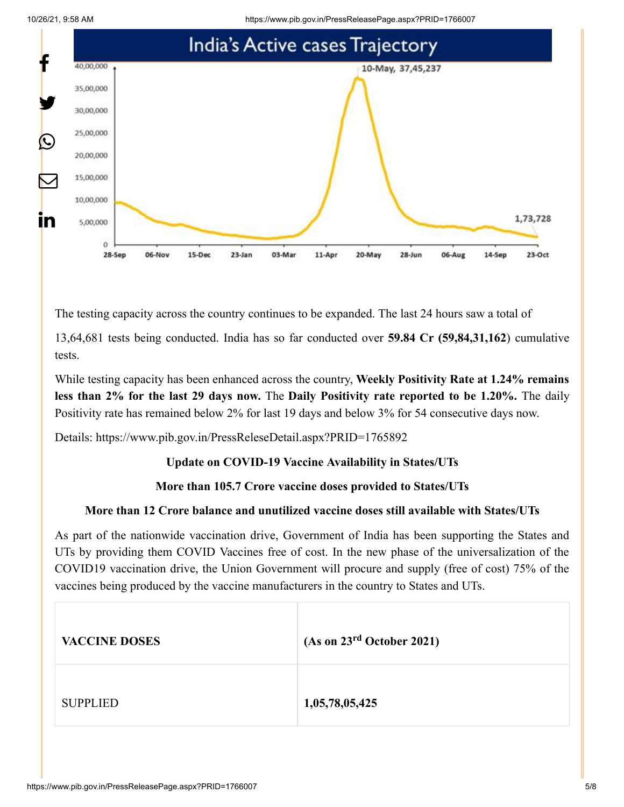10/26/21, 9:58 AM https://www.pib.gov.in/PressReleasePage.aspx?PRID=1766007





The testing capacity across the country continues to be expanded. The last 24 hours saw a total of

13,64,681 tests being conducted. India has so far conducted over **59.84 Cr (59,84,31,162**) cumulative tests.

While testing capacity has been enhanced across the country, **Weekly Positivity Rate at 1.24% remains less than 2% for the last 29 days now.** The **Daily Positivity rate reported to be 1.20%.** The daily Positivity rate has remained below 2% for last 19 days and below 3% for 54 consecutive days now.

Details:<https://www.pib.gov.in/PressReleseDetail.aspx?PRID=1765892>

## **Update on COVID-19 Vaccine Availability in States/UTs**

## **More than 105.7 Crore vaccine doses provided to States/UTs**

## **More than 12 Crore balance and unutilized vaccine doses still available with States/UTs**

As part of the nationwide vaccination drive, Government of India has been supporting the States and UTs by providing them COVID Vaccines free of cost. In the new phase of the universalization of the COVID19 vaccination drive, the Union Government will procure and supply (free of cost) 75% of the vaccines being produced by the vaccine manufacturers in the country to States and UTs.

| <b>VACCINE DOSES</b> | (As on 23 <sup>rd</sup> October 2021) |
|----------------------|---------------------------------------|
| <b>SUPPLIED</b>      | 1,05,78,05,425                        |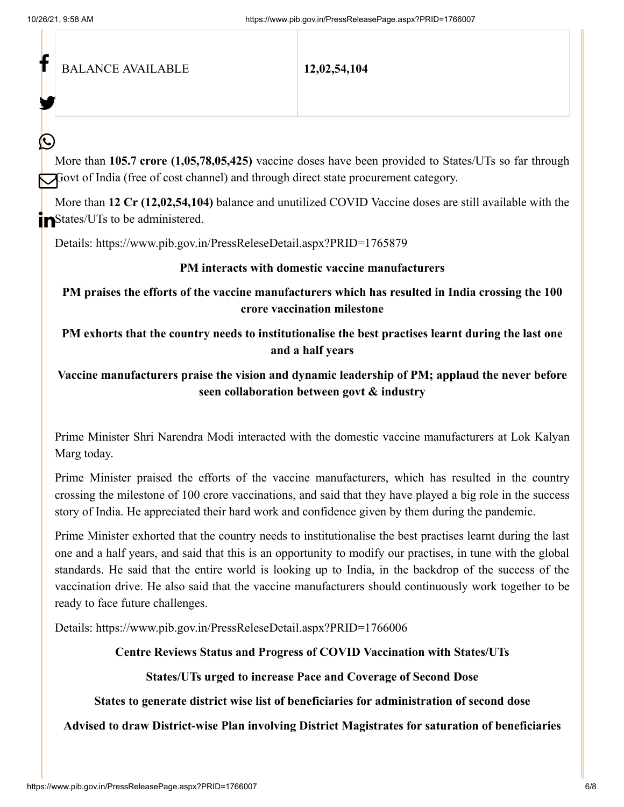f

У.

 $\bm{\mathcal{Q}}$ 

BALANCE AVAILABLE **12,02,54,104**

More than **105.7 crore (1,05,78,05,425)** vaccine doses have been provided to States/UTs so far through Govt of India (free of cost channel) and through direct state procurement category.

More than **12 Cr (12,02,54,104)** balance and unutilized COVID Vaccine doses are still available with the **n**States/UTs to be administered.

Details:<https://www.pib.gov.in/PressReleseDetail.aspx?PRID=1765879>

#### **PM interacts with domestic vaccine manufacturers**

**PM praises the efforts of the vaccine manufacturers which has resulted in India crossing the 100 crore vaccination milestone**

**PM exhorts that the country needs to institutionalise the best practises learnt during the last one and a half years**

## **Vaccine manufacturers praise the vision and dynamic leadership of PM; applaud the never before seen collaboration between govt & industry**

Prime Minister Shri Narendra Modi interacted with the domestic vaccine manufacturers at Lok Kalyan Marg today.

Prime Minister praised the efforts of the vaccine manufacturers, which has resulted in the country crossing the milestone of 100 crore vaccinations, and said that they have played a big role in the success story of India. He appreciated their hard work and confidence given by them during the pandemic.

Prime Minister exhorted that the country needs to institutionalise the best practises learnt during the last one and a half years, and said that this is an opportunity to modify our practises, in tune with the global standards. He said that the entire world is looking up to India, in the backdrop of the success of the vaccination drive. He also said that the vaccine manufacturers should continuously work together to be ready to face future challenges.

Details:<https://www.pib.gov.in/PressReleseDetail.aspx?PRID=1766006>

## **Centre Reviews Status and Progress of COVID Vaccination with States/UTs**

## **States/UTs urged to increase Pace and Coverage of Second Dose**

**States to generate district wise list of beneficiaries for administration of second dose**

## **Advised to draw District-wise Plan involving District Magistrates for saturation of beneficiaries**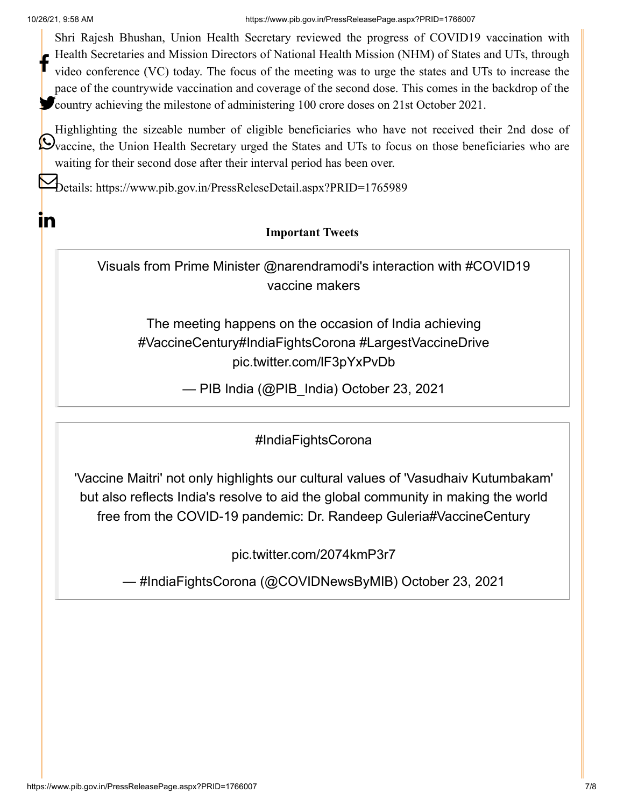**in** 

10/26/21, 9:58 AM https://www.pib.gov.in/PressReleasePage.aspx?PRID=1766007

Shri Rajesh Bhushan, Union Health Secretary reviewed the progress of COVID19 vaccination with Health Secretaries and Mission Directors of National Health Mission (NHM) of States and UTs, through video conference (VC) today. The focus of the meeting was to urge the states and UTs to increase the pace of the countrywide vaccination and coverage of the second dose. This comes in the backdrop of the **Country achieving the milestone of administering 100 crore doses on 21st October 2021.** f

Highlighting the sizeable number of eligible beneficiaries who have not received their 2nd dose of Ovaccine, the Union Health Secretary urged the States and UTs to focus on those beneficiaries who are waiting for their second dose after their interval period has been over.

Details:<https://www.pib.gov.in/PressReleseDetail.aspx?PRID=1765989>

# **Important Tweets**

Visuals from Prime Minister [@narendramodi](https://twitter.com/narendramodi?ref_src=twsrc%5Etfw)'s interaction with [#COVID19](https://twitter.com/hashtag/COVID19?src=hash&ref_src=twsrc%5Etfw) vaccine makers

The meeting happens on the occasion of India achieving [#VaccineCentury](https://twitter.com/hashtag/VaccineCentury?src=hash&ref_src=twsrc%5Etfw)[#IndiaFightsCorona](https://twitter.com/hashtag/IndiaFightsCorona?src=hash&ref_src=twsrc%5Etfw) [#LargestVaccineDrive](https://twitter.com/hashtag/LargestVaccineDrive?src=hash&ref_src=twsrc%5Etfw) [pic.twitter.com/lF3pYxPvDb](https://t.co/lF3pYxPvDb)

— PIB India (@PIB\_India) [October 23, 2021](https://twitter.com/PIB_India/status/1451885061796556805?ref_src=twsrc%5Etfw)

[#IndiaFightsCorona](https://twitter.com/hashtag/IndiaFightsCorona?src=hash&ref_src=twsrc%5Etfw)

'Vaccine Maitri' not only highlights our cultural values of 'Vasudhaiv Kutumbakam' but also reflects India's resolve to aid the global community in making the world free from the COVID-19 pandemic: Dr. Randeep Guleri[a#VaccineCentury](https://twitter.com/hashtag/VaccineCentury?src=hash&ref_src=twsrc%5Etfw)

[pic.twitter.com/2074kmP3r7](https://t.co/2074kmP3r7)

— #IndiaFightsCorona (@COVIDNewsByMIB) [October 23, 2021](https://twitter.com/COVIDNewsByMIB/status/1451851197506228227?ref_src=twsrc%5Etfw)